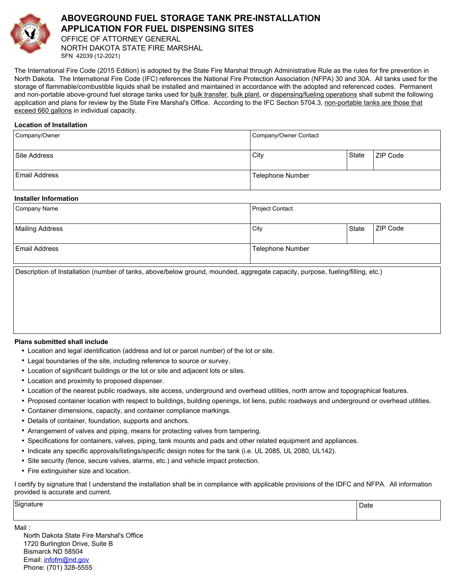

# **ABOVEGROUND FUEL STORAGE TANK PRE-INSTALLATION APPLICATION FOR FUEL DISPENSING SITES**

OFFICE OF ATTORNEY GENERAL NORTH DAKOTA STATE FIRE MARSHAL SFN 42039 (12-2021)

The International Fire Code (2015 Edition) is adopted by the State Fire Marshal through Administrative Rule as the rules for fire prevention in North Dakota. The International Fire Code (IFC) references the National Fire Protection Association (NFPA) 30 and 30A. All tanks used for the storage of flammable/combustible liquids shall be installed and maintained in accordance with the adopted and referenced codes. Permanent and non-portable above-ground fuel storage tanks used for bulk transfer, bulk plant, or dispensing/fueling operations shall submit the following application and plans for review by the State Fire Marshal's Office. According to the IFC Section 5704.3, non-portable tanks are those that exceed 660 gallons in individual capacity.

#### **Location of Installation**

| Company/Owner | Company/Owner Contact |       |                 |
|---------------|-----------------------|-------|-----------------|
| Site Address  | City                  | State | <b>ZIP Code</b> |
| Email Address | Telephone Number      |       |                 |

#### **Installer Information**

| Company Name         | <b>Project Contact</b> |       |                 |
|----------------------|------------------------|-------|-----------------|
| Mailing Address      | City                   | State | <b>ZIP Code</b> |
| <b>Email Address</b> | Telephone Number       |       |                 |

Description of Installation (number of tanks, above/below ground, mounded, aggregate capacity, purpose, fueling/filling, etc.)

## **Plans submitted shall include**

- Location and legal identification (address and lot or parcel number) of the lot or site.
- Legal boundaries of the site, including reference to source or survey.
- Location of significant buildings or the lot or site and adjacent lots or sites.
- Location and proximity to proposed dispenser.
- Location of the nearest public roadways, site access, underground and overhead utilities, north arrow and topographical features.
- Proposed container location with respect to buildings, building openings, lot liens, public roadways and underground or overhead utilities.
- Container dimensions, capacity, and container compliance markings.
- Details of container, foundation, supports and anchors.
- Arrangement of valves and piping, means for protecting valves from tampering.
- Specifications for containers, valves, piping, tank mounts and pads and other related equipment and appliances.
- Indicate any specific approvals/listings/specific design notes for the tank (i.e. UL 2085, UL 2080, UL142).
- Site security (fence, secure valves, alarms, etc.) and vehicle impact protection.
- Fire extinguisher size and location.

I certify by signature that I understand the installation shall be in compliance with applicable provisions of the IDFC and NFPA. All information provided is accurate and current.

#### Signature **Date**

Mail :

 North Dakota State Fire Marshal's Office 1720 Burlington Drive, Suite B Bismarck ND 58504 Email: [infofm@nd.gov](mailto:infofm@nd.gov) Phone: (701) 328-5555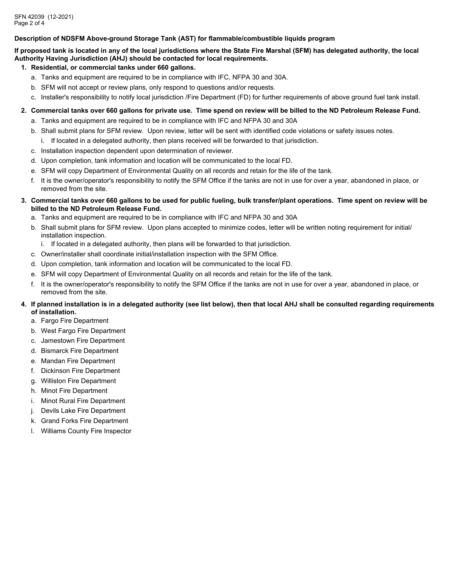#### **Description of NDSFM Above-ground Storage Tank (AST) for flammable/combustible liquids program**

# **If proposed tank is located in any of the local jurisdictions where the State Fire Marshal (SFM) has delegated authority, the local Authority Having Jurisdiction (AHJ) should be contacted for local requirements.**

## **1. Residential, or commercial tanks under 660 gallons.**

- a. Tanks and equipment are required to be in compliance with IFC, NFPA 30 and 30A.
- b. SFM will not accept or review plans, only respond to questions and/or requests.
- c. Installer's responsibility to notify local jurisdiction /Fire Department (FD) for further requirements of above ground fuel tank install.

# **2. Commercial tanks over 660 gallons for private use. Time spend on review will be billed to the ND Petroleum Release Fund.**

- a. Tanks and equipment are required to be in compliance with IFC and NFPA 30 and 30A
- b. Shall submit plans for SFM review. Upon review, letter will be sent with identified code violations or safety issues notes.
	- i. If located in a delegated authority, then plans received will be forwarded to that jurisdiction.
- c. Installation inspection dependent upon determination of reviewer.
- d. Upon completion, tank information and location will be communicated to the local FD.
- e. SFM will copy Department of Environmental Quality on all records and retain for the life of the tank.
- f. It is the owner/operator's responsibility to notify the SFM Office if the tanks are not in use for over a year, abandoned in place, or removed from the site.
- **3. Commercial tanks over 660 gallons to be used for public fueling, bulk transfer/plant operations. Time spent on review will be billed to the ND Petroleum Release Fund.**
	- a. Tanks and equipment are required to be in compliance with IFC and NFPA 30 and 30A
	- b. Shall submit plans for SFM review. Upon plans accepted to minimize codes, letter will be written noting requirement for initial/ installation inspection.
	- i. If located in a delegated authority, then plans will be forwarded to that jurisdiction.
	- c. Owner/installer shall coordinate initial/installation inspection with the SFM Office.
	- d. Upon completion, tank information and location will be communicated to the local FD.
	- e. SFM will copy Department of Environmental Quality on all records and retain for the life of the tank.
	- f. It is the owner/operator's responsibility to notify the SFM Office if the tanks are not in use for over a year, abandoned in place, or removed from the site.

## **4. If planned installation is in a delegated authority (see list below), then that local AHJ shall be consulted regarding requirements of installation.**

- a. Fargo Fire Department
- b. West Fargo Fire Department
- c. Jamestown Fire Department
- d. Bismarck Fire Department
- e. Mandan Fire Department
- f. Dickinson Fire Department
- g. Williston Fire Department
- h. Minot Fire Department
- i. Minot Rural Fire Department
- j. Devils Lake Fire Department
- k. Grand Forks Fire Department
- l. Williams County Fire Inspector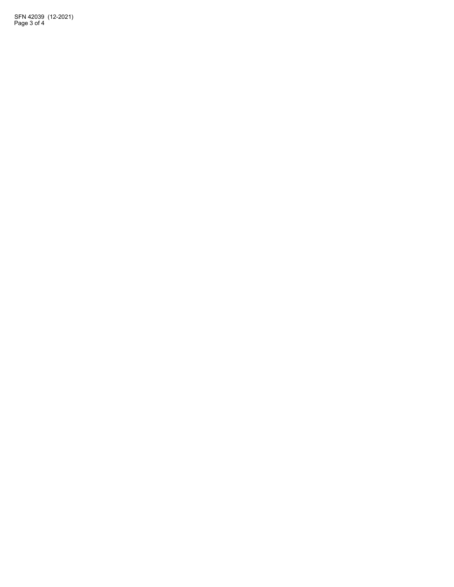SFN 42039 (12-2021) Page 3 of 4